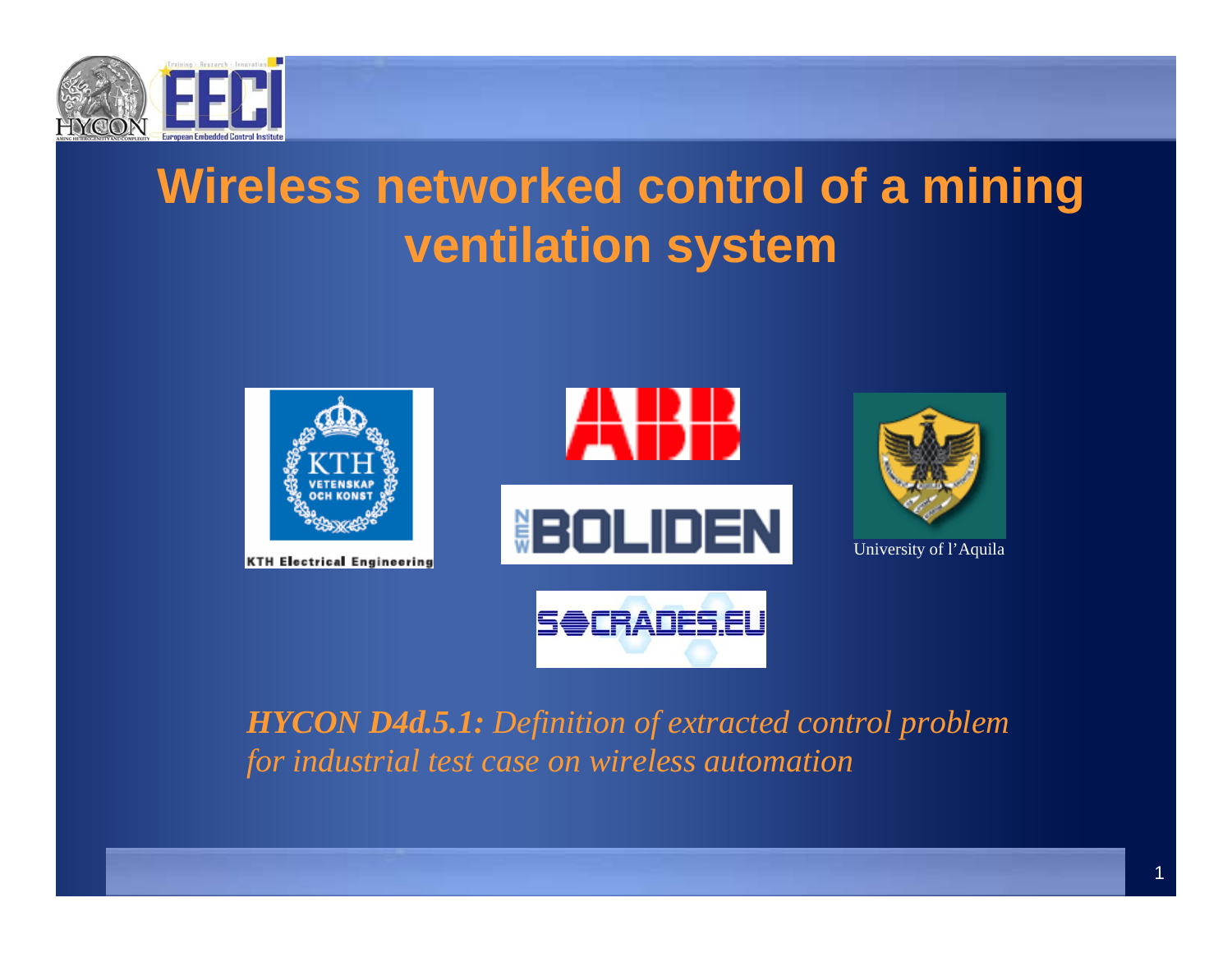

# **Wireless networked control of a mining ventilation system**



**KTH Electrical Engineering** 



**SOCRADES.EU** 



University of l'Aquila

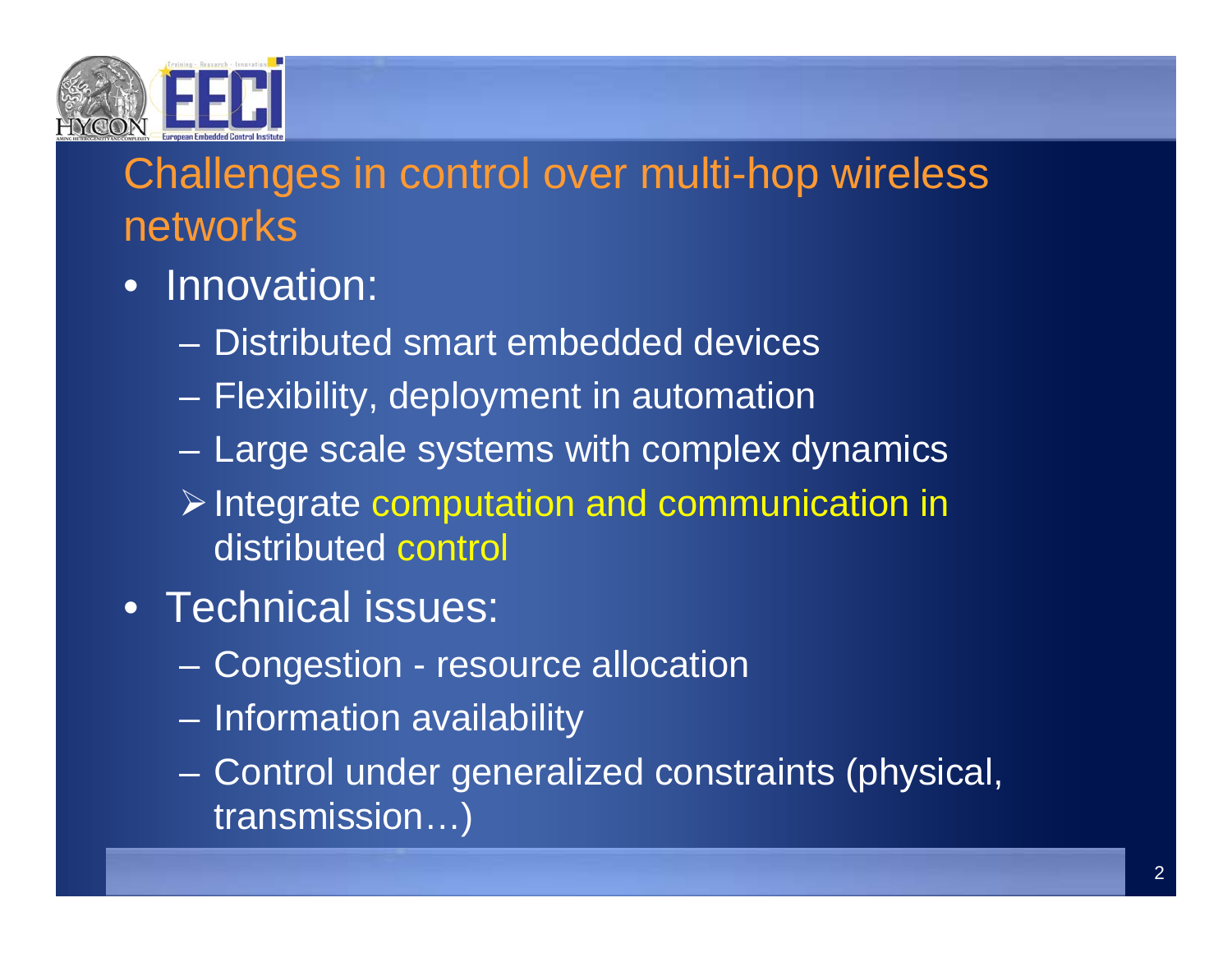

## Challenges in control over multi-hop wireless networks

## • Innovation:

- Distributed smart embedded devices
- –Flexibility, deployment in automation
- –Large scale systems with complex dynamics
- $\triangleright$  Integrate computation and communication in distributed control
- Technical issues:
	- Congestion resource allocation
	- Information availability
	- Control under generalized constraints (physical, transmission…)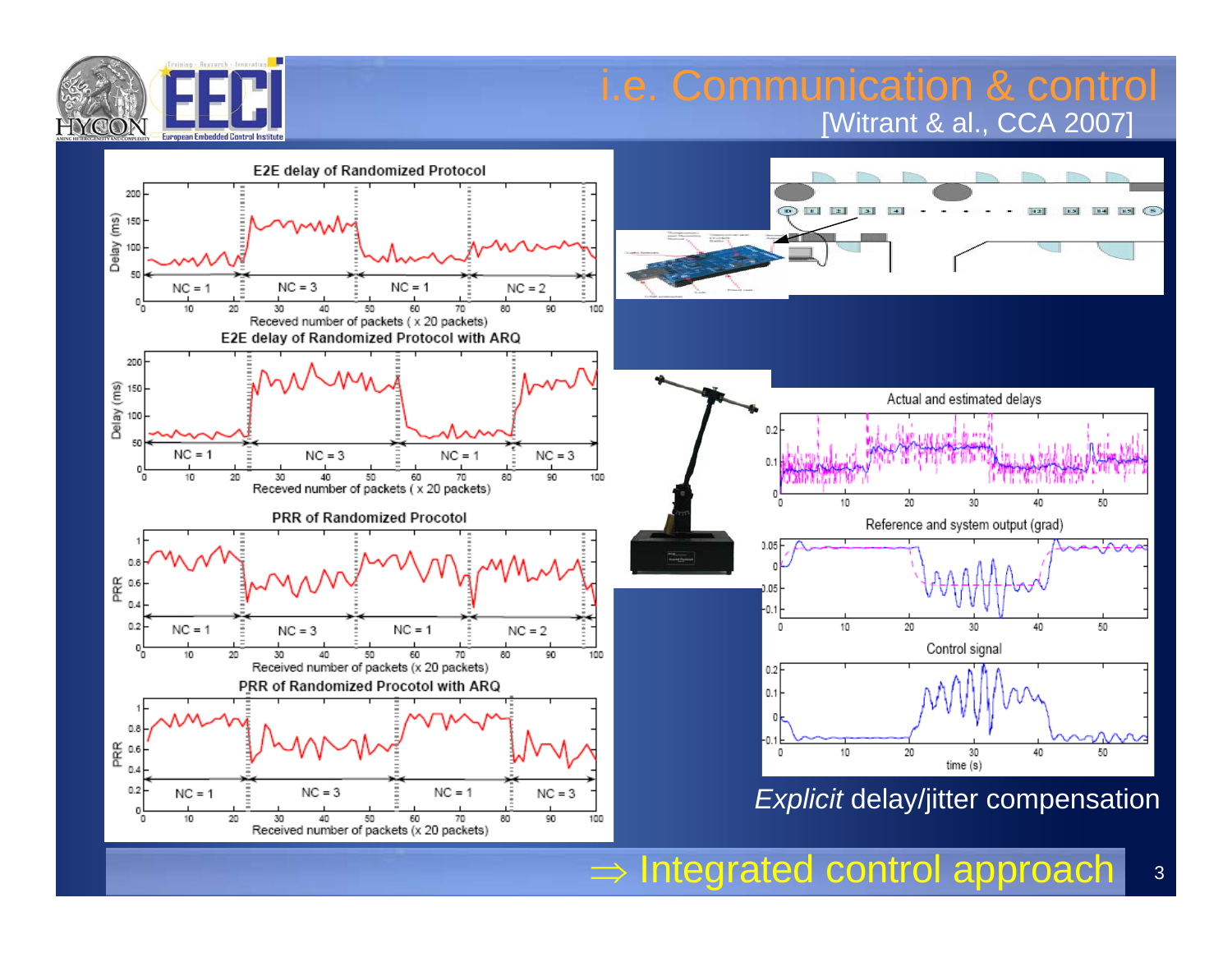

### i.e. Communication & control [Witrant & al., CCA 2007]







*Explicit* delay/jitter compensation

 $\Rightarrow$  Integrated control approach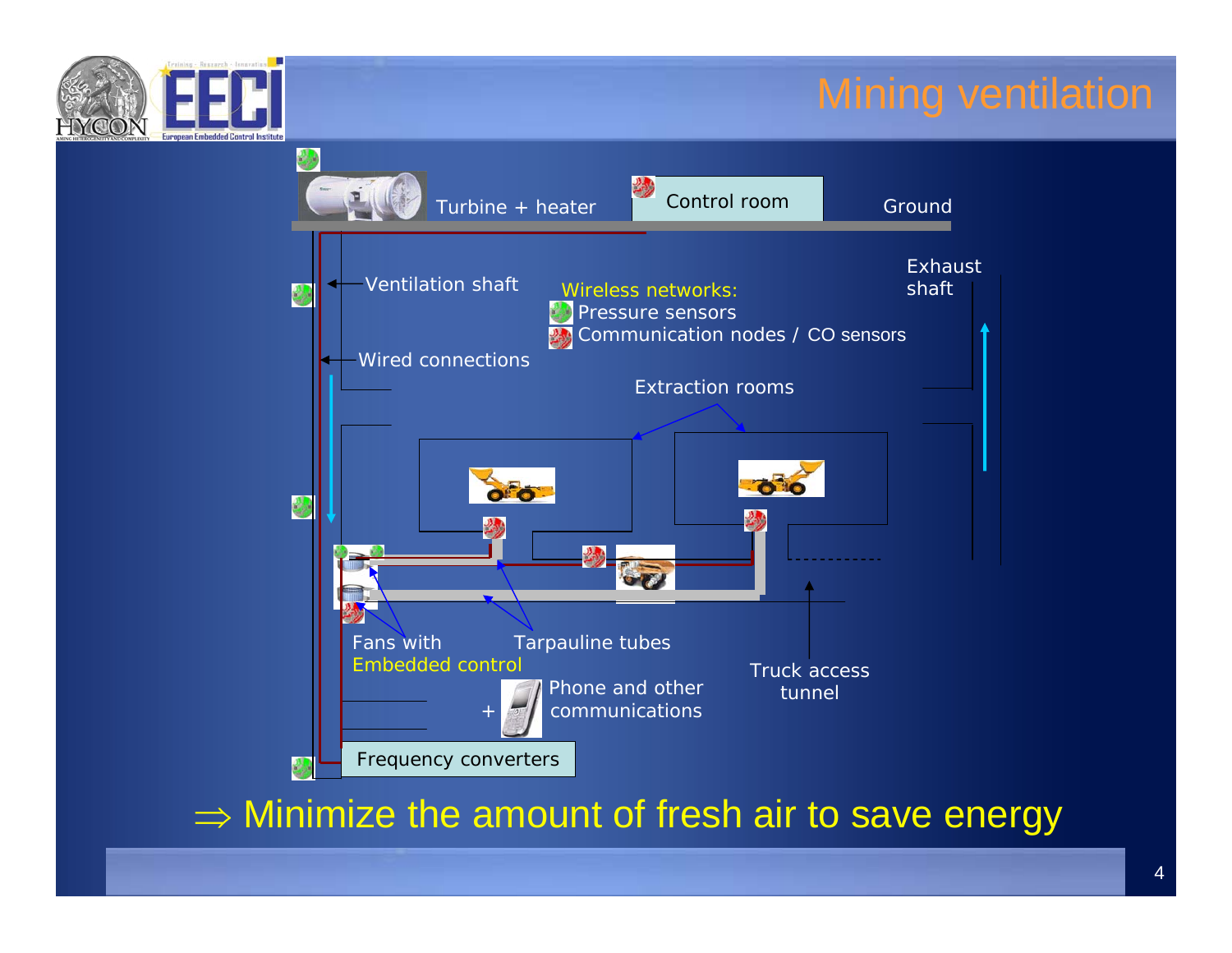

## Mining ventilation



 $\Rightarrow$  Minimize the amount of fresh air to save energy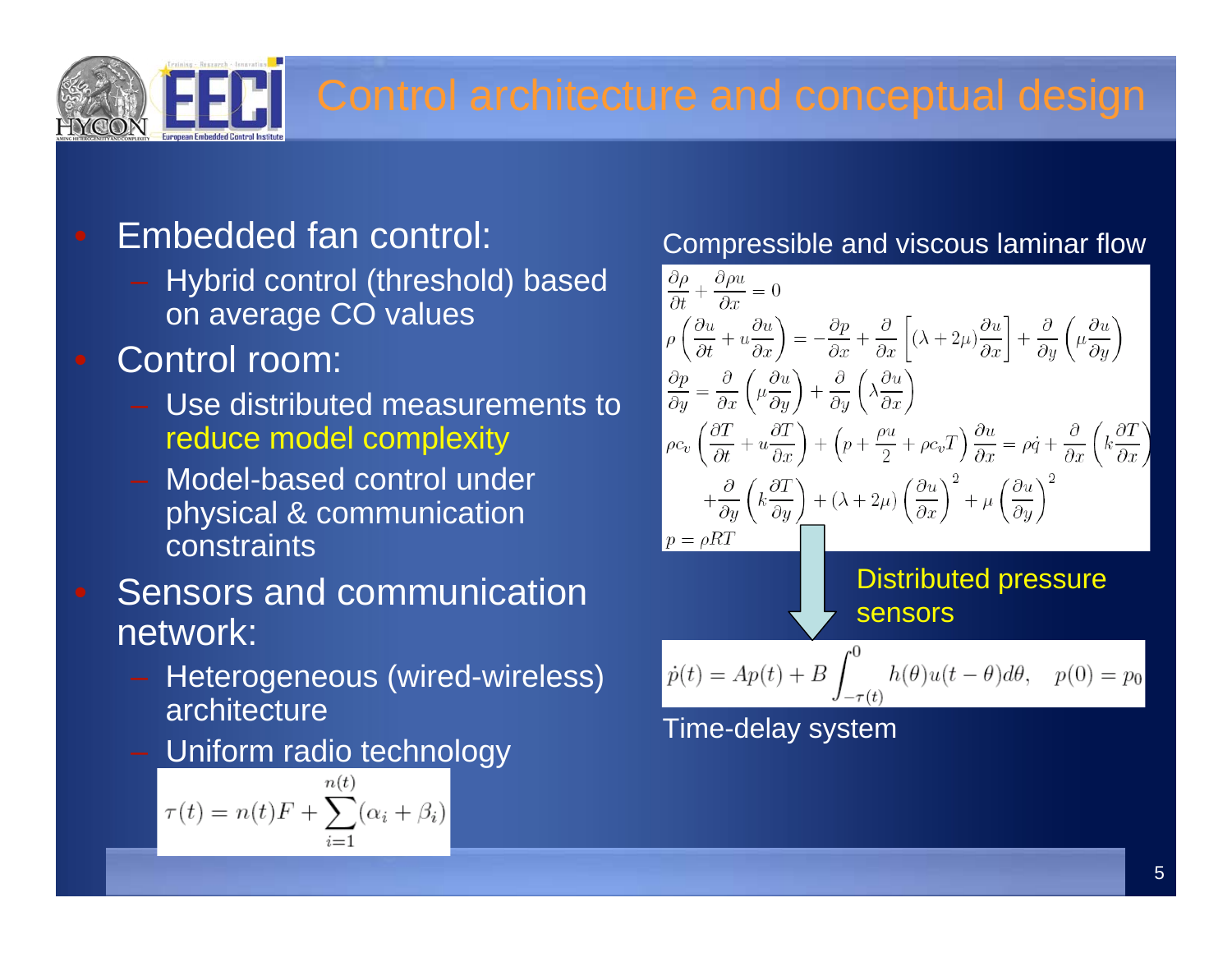## Embedded fan control:

- Hybrid control (threshold) based on average CO values

- Control room:
	- Use distributed measurements to reduce model complexity
	- Model-based control under physical & communication constraints
- Sensors and communication network:
	- Heterogeneous (wired-wireless) architecture
	- Uniform radio technology

$$
\tau(t) = n(t)F + \sum_{i=1}^{n(t)} (\alpha_i + \beta_i)
$$

### Compressible and viscous laminar flow

$$
\frac{\partial \rho}{\partial t} + \frac{\partial \rho u}{\partial x} = 0
$$
\n
$$
\rho \left( \frac{\partial u}{\partial t} + u \frac{\partial u}{\partial x} \right) = -\frac{\partial p}{\partial x} + \frac{\partial}{\partial x} \left[ (\lambda + 2\mu) \frac{\partial u}{\partial x} \right] + \frac{\partial}{\partial y} \left( \mu \frac{\partial u}{\partial y} \right)
$$
\n
$$
\frac{\partial p}{\partial y} = \frac{\partial}{\partial x} \left( \mu \frac{\partial u}{\partial y} \right) + \frac{\partial}{\partial y} \left( \lambda \frac{\partial u}{\partial x} \right)
$$
\n
$$
\rho c_v \left( \frac{\partial T}{\partial t} + u \frac{\partial T}{\partial x} \right) + \left( p + \frac{\rho u}{2} + \rho c_v T \right) \frac{\partial u}{\partial x} = \rho \dot{q} + \frac{\partial}{\partial x} \left( k \frac{\partial T}{\partial x} \right)
$$
\n
$$
+ \frac{\partial}{\partial y} \left( k \frac{\partial T}{\partial y} \right) + (\lambda + 2\mu) \left( \frac{\partial u}{\partial x} \right)^2 + \mu \left( \frac{\partial u}{\partial y} \right)^2
$$
\n
$$
p = \rho RT
$$
\nDistributed pressure  
\n**Sensors**  
\n
$$
\dot{p}(t) = Ap(t) + B \int_{-\tau(t)}^0 h(\theta) u(t - \theta) d\theta, \quad p(0) = p_0
$$
\n
$$
\text{Time-delay system}
$$

5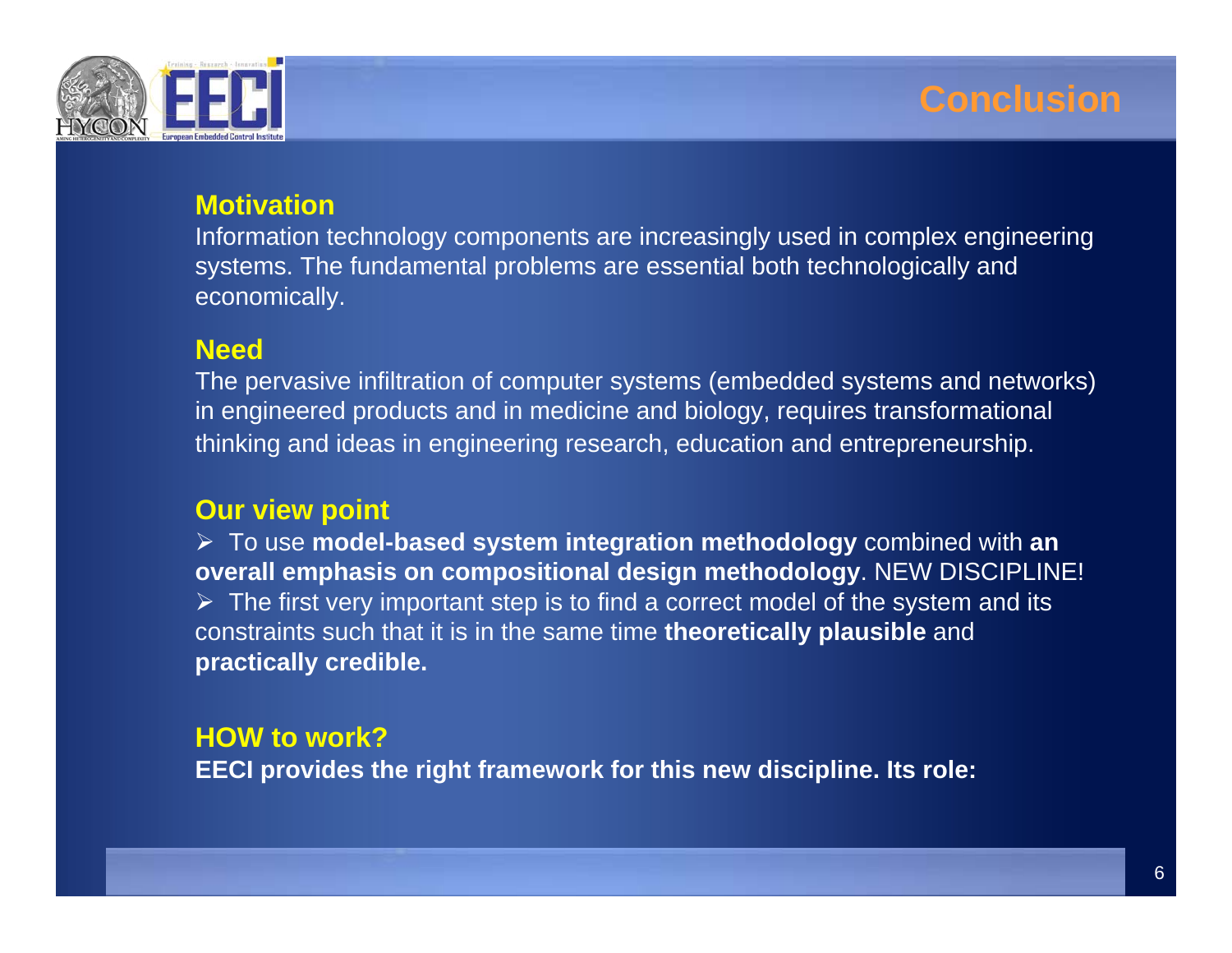

#### **Motivation**

Information technology components are increasingly used in complex engineering systems. The fundamental problems are essential both technologically and economically.

#### **Need**

The pervasive infiltration of computer systems (embedded systems and networks) in engineered products and in medicine and biology, requires transformational thinking and ideas in engineering research, education and entrepreneurship.

#### **Our view point**

¾ To use **model-based system integration methodology** combined with **an overall emphasis on compositional design methodology**. NEW DISCIPLINE!  $\triangleright$  The first very important step is to find a correct model of the system and its constraints such that it is in the same time **theoretically plausible** and **practically credible.**

#### **HOW to work?EECI provides the right framework for this new discipline. Its role:**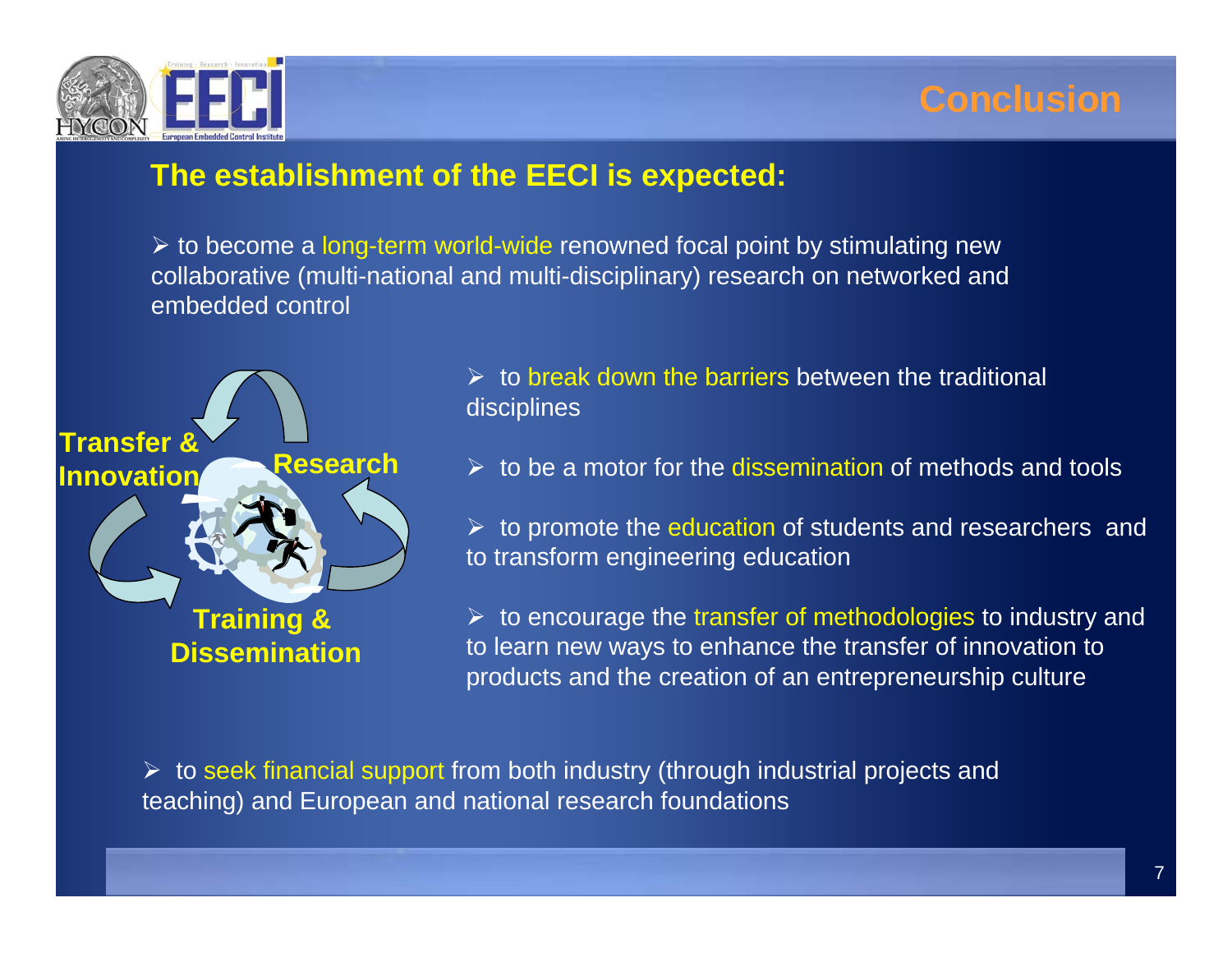



#### **The establishment of the EECI is expected:**

≻ to become a long-term world-wide renowned focal point by stimulating new collaborative (multi-national and multi-disciplinary) research on networked and embedded control



 $\triangleright$  to break down the barriers between the traditional disciplines

 $\triangleright$  to be a motor for the dissemination of methods and tools

 $\triangleright$  to promote the education of students and researchers and to transform engineering education

 $\triangleright$  to encourage the transfer of methodologies to industry and to learn new ways to enhance the transfer of innovation to products and the creation of an entrepreneurship culture

 $\triangleright$  to seek financial support from both industry (through industrial projects and teaching) and European and national research foundations